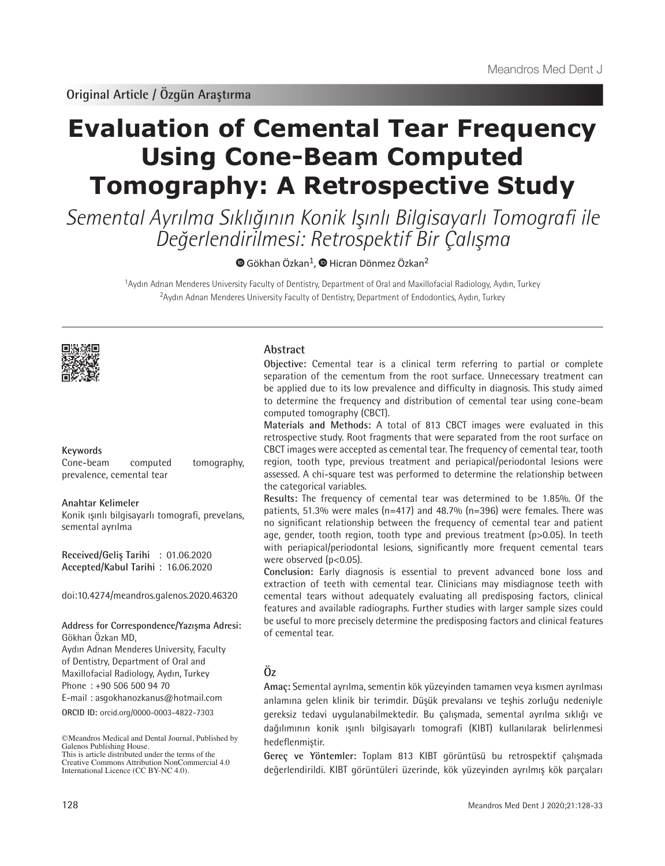# **Evaluation of Cemental Tear Frequency Using Cone-Beam Computed Tomography: A Retrospective Study**

Semental Ayrılma Sıklığının Konik Işınlı Bilgisayarlı Tomografi ile Değerlendirilmesi: Retrospektif Bir Çalışma

 $\bullet$ Gökhan Özkan<sup>1</sup>,  $\bullet$  Hicran Dönmez Özkan<sup>2</sup>

<sup>1</sup>Aydın Adnan Menderes University Faculty of Dentistry, Department of Oral and Maxillofacial Radiology, Aydın, Turkey <sup>2</sup>Aydın Adnan Menderes University Faculty of Dentistry, Department of Endodontics, Aydın, Turkey



## **Keywords**

Cone-beam computed tomography, prevalence, cemental tear

#### **Anahtar Kelimeler**

Konik ışınlı bilgisayarlı tomografi, prevelans, semental ayrılma

**Received/Geliş Tarihi** : 01.06.2020 **Accepted/Kabul Tarihi** : 16.06.2020

doi:10.4274/meandros.galenos.2020.46320

**Address for Correspondence/Yazışma Adresi:** Gökhan Özkan MD, Aydın Adnan Menderes University, Faculty of Dentistry, Department of Oral and Maxillofacial Radiology, Aydın, Turkey

Phone : +90 506 500 94 70 E-mail : asgokhanozkanus@hotmail.com

**ORCID ID:** orcid.org/0000-0003-4822-7303

©Meandros Medical and Dental Journal, Published by Galenos Publishing House. This is article distributed under the terms of the

## **Abstract**

**Objective:** Cemental tear is a clinical term referring to partial or complete separation of the cementum from the root surface. Unnecessary treatment can be applied due to its low prevalence and difficulty in diagnosis. This study aimed to determine the frequency and distribution of cemental tear using cone-beam computed tomography (CBCT).

**Materials and Methods:** A total of 813 CBCT images were evaluated in this retrospective study. Root fragments that were separated from the root surface on CBCT images were accepted as cemental tear. The frequency of cemental tear, tooth region, tooth type, previous treatment and periapical/periodontal lesions were assessed. A chi-square test was performed to determine the relationship between the categorical variables.

**Results:** The frequency of cemental tear was determined to be 1.85%. Of the patients, 51.3% were males (n=417) and 48.7% (n=396) were females. There was no significant relationship between the frequency of cemental tear and patient age, gender, tooth region, tooth type and previous treatment (p>0.05). In teeth with periapical/periodontal lesions, significantly more frequent cemental tears were observed (p<0.05).

**Conclusion:** Early diagnosis is essential to prevent advanced bone loss and extraction of teeth with cemental tear. Clinicians may misdiagnose teeth with cemental tears without adequately evaluating all predisposing factors, clinical features and available radiographs. Further studies with larger sample sizes could be useful to more precisely determine the predisposing factors and clinical features of cemental tear.

## **Öz**

**Amaç:** Semental ayrılma, sementin kök yüzeyinden tamamen veya kısmen ayrılması anlamına gelen klinik bir terimdir. Düşük prevalansı ve teşhis zorluğu nedeniyle gereksiz tedavi uygulanabilmektedir. Bu çalışmada, semental ayrılma sıklığı ve dağılımının konik ışınlı bilgisayarlı tomografi (KIBT) kullanılarak belirlenmesi hedeflenmiştir.

**Gereç ve Yöntemler:** Toplam 813 KIBT görüntüsü bu retrospektif çalışmada değerlendirildi. KIBT görüntüleri üzerinde, kök yüzeyinden ayrılmış kök parçaları

Creative Commons Attribution NonCommercial 4.0 International Licence (CC BY-NC 4.0).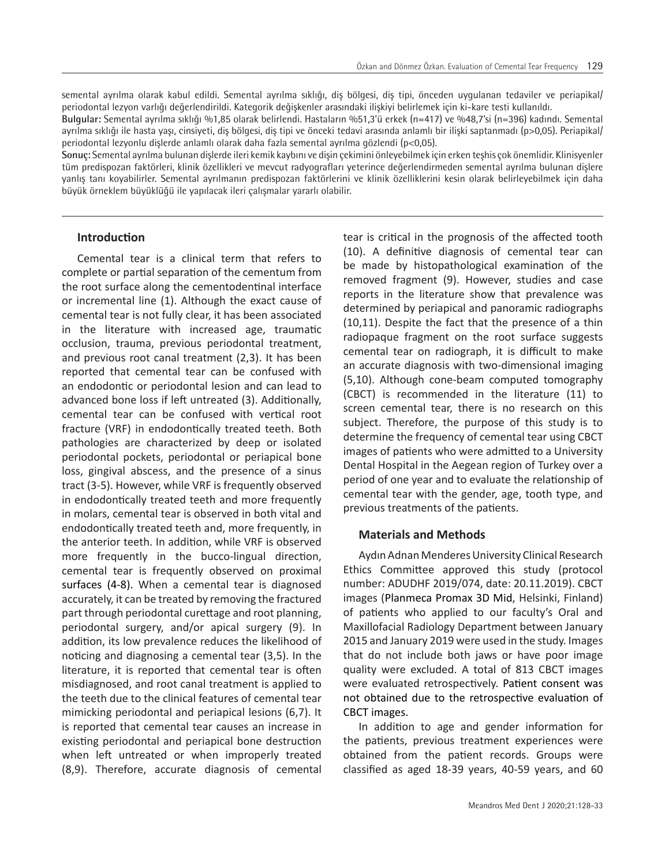semental ayrılma olarak kabul edildi. Semental ayrılma sıklığı, diş bölgesi, diş tipi, önceden uygulanan tedaviler ve periapikal/ periodontal lezyon varlığı değerlendirildi. Kategorik değişkenler arasındaki ilişkiyi belirlemek için ki-kare testi kullanıldı.

**Bulgular:** Semental ayrılma sıklığı %1,85 olarak belirlendi. Hastaların %51,3'ü erkek (n=417) ve %48,7'si (n=396) kadındı. Semental ayrılma sıklığı ile hasta yaşı, cinsiyeti, diş bölgesi, diş tipi ve önceki tedavi arasında anlamlı bir ilişki saptanmadı (p>0,05). Periapikal/ periodontal lezyonlu dişlerde anlamlı olarak daha fazla semental ayrılma gözlendi (p<0,05).

**Sonuç:** Semental ayrılma bulunan dişlerde ileri kemik kaybını ve dişin çekimini önleyebilmek için erken teşhis çok önemlidir. Klinisyenler tüm predispozan faktörleri, klinik özellikleri ve mevcut radyografları yeterince değerlendirmeden semental ayrılma bulunan dişlere yanlış tanı koyabilirler. Semental ayrılmanın predispozan faktörlerini ve klinik özelliklerini kesin olarak belirleyebilmek için daha büyük örneklem büyüklüğü ile yapılacak ileri çalışmalar yararlı olabilir.

## **Introduction**

Cemental tear is a clinical term that refers to complete or partial separation of the cementum from the root surface along the cementodentinal interface or incremental line (1). Although the exact cause of cemental tear is not fully clear, it has been associated in the literature with increased age, traumatic occlusion, trauma, previous periodontal treatment, and previous root canal treatment (2,3). It has been reported that cemental tear can be confused with an endodontic or periodontal lesion and can lead to advanced bone loss if left untreated (3). Additionally, cemental tear can be confused with vertical root fracture (VRF) in endodontically treated teeth. Both pathologies are characterized by deep or isolated periodontal pockets, periodontal or periapical bone loss, gingival abscess, and the presence of a sinus tract (3-5). However, while VRF is frequently observed in endodontically treated teeth and more frequently in molars, cemental tear is observed in both vital and endodontically treated teeth and, more frequently, in the anterior teeth. In addition, while VRF is observed more frequently in the bucco-lingual direction, cemental tear is frequently observed on proximal surfaces (4-8). When a cemental tear is diagnosed accurately, it can be treated by removing the fractured part through periodontal curettage and root planning, periodontal surgery, and/or apical surgery (9). In addition, its low prevalence reduces the likelihood of noticing and diagnosing a cemental tear (3,5). In the literature, it is reported that cemental tear is often misdiagnosed, and root canal treatment is applied to the teeth due to the clinical features of cemental tear mimicking periodontal and periapical lesions (6,7). It is reported that cemental tear causes an increase in existing periodontal and periapical bone destruction when left untreated or when improperly treated (8,9). Therefore, accurate diagnosis of cemental

tear is critical in the prognosis of the affected tooth (10). A definitive diagnosis of cemental tear can be made by histopathological examination of the removed fragment (9). However, studies and case reports in the literature show that prevalence was determined by periapical and panoramic radiographs (10,11). Despite the fact that the presence of a thin radiopaque fragment on the root surface suggests cemental tear on radiograph, it is difficult to make an accurate diagnosis with two-dimensional imaging (5,10). Although cone-beam computed tomography (CBCT) is recommended in the literature (11) to screen cemental tear, there is no research on this subject. Therefore, the purpose of this study is to determine the frequency of cemental tear using CBCT images of patients who were admitted to a University Dental Hospital in the Aegean region of Turkey over a period of one year and to evaluate the relationship of cemental tear with the gender, age, tooth type, and previous treatments of the patients.

#### **Materials and Methods**

Aydın Adnan Menderes University Clinical Research Ethics Committee approved this study (protocol number: ADUDHF 2019/074, date: 20.11.2019). CBCT images (Planmeca Promax 3D Mid, Helsinki, Finland) of patients who applied to our faculty's Oral and Maxillofacial Radiology Department between January 2015 and January 2019 were used in the study. Images that do not include both jaws or have poor image quality were excluded. A total of 813 CBCT images were evaluated retrospectively. Patient consent was not obtained due to the retrospective evaluation of CBCT images.

In addition to age and gender information for the patients, previous treatment experiences were obtained from the patient records. Groups were classified as aged 18-39 years, 40-59 years, and 60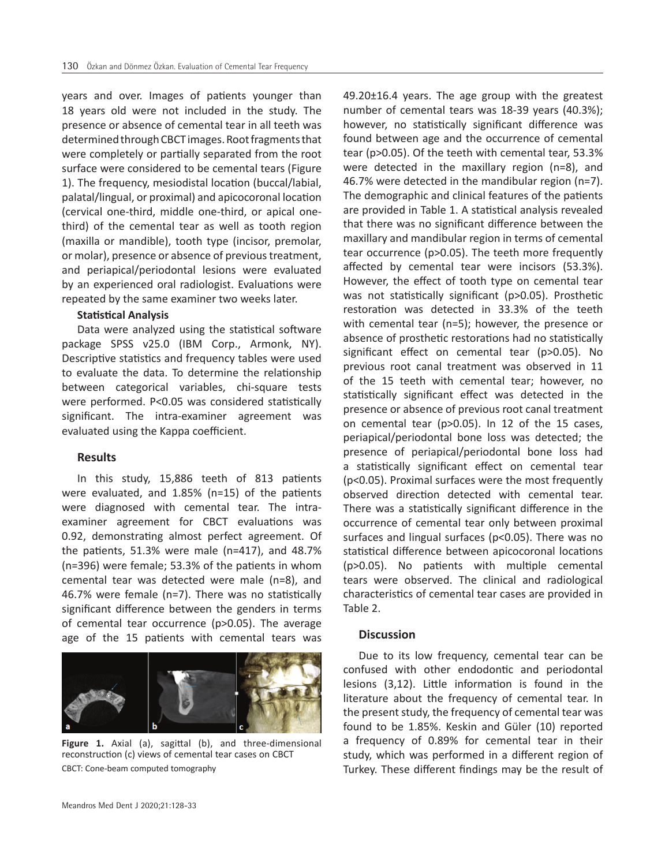years and over. Images of patients younger than 18 years old were not included in the study. The presence or absence of cemental tear in all teeth was determined through CBCT images. Root fragments that were completely or partially separated from the root surface were considered to be cemental tears (Figure 1). The frequency, mesiodistal location (buccal/labial, palatal/lingual, or proximal) and apicocoronal location (cervical one-third, middle one-third, or apical onethird) of the cemental tear as well as tooth region (maxilla or mandible), tooth type (incisor, premolar, or molar), presence or absence of previous treatment, and periapical/periodontal lesions were evaluated by an experienced oral radiologist. Evaluations were repeated by the same examiner two weeks later.

## **Statistical Analysis**

Data were analyzed using the statistical software package SPSS v25.0 (IBM Corp., Armonk, NY). Descriptive statistics and frequency tables were used to evaluate the data. To determine the relationship between categorical variables, chi-square tests were performed. P<0.05 was considered statistically significant. The intra-examiner agreement was evaluated using the Kappa coefficient.

#### **Results**

In this study, 15,886 teeth of 813 patients were evaluated, and 1.85% (n=15) of the patients were diagnosed with cemental tear. The intraexaminer agreement for CBCT evaluations was 0.92, demonstrating almost perfect agreement. Of the patients, 51.3% were male (n=417), and 48.7% (n=396) were female; 53.3% of the patients in whom cemental tear was detected were male (n=8), and 46.7% were female (n=7). There was no statistically significant difference between the genders in terms of cemental tear occurrence (p>0.05). The average age of the 15 patients with cemental tears was



**Figure 1.** Axial (a), sagittal (b), and three-dimensional reconstruction (c) views of cemental tear cases on CBCT CBCT: Cone-beam computed tomography

49.20±16.4 years. The age group with the greatest number of cemental tears was 18-39 years (40.3%); however, no statistically significant difference was found between age and the occurrence of cemental tear (p>0.05). Of the teeth with cemental tear, 53.3% were detected in the maxillary region (n=8), and 46.7% were detected in the mandibular region (n=7). The demographic and clinical features of the patients are provided in Table 1. A statistical analysis revealed that there was no significant difference between the maxillary and mandibular region in terms of cemental tear occurrence (p>0.05). The teeth more frequently affected by cemental tear were incisors (53.3%). However, the effect of tooth type on cemental tear was not statistically significant (p>0.05). Prosthetic restoration was detected in 33.3% of the teeth with cemental tear (n=5); however, the presence or absence of prosthetic restorations had no statistically significant effect on cemental tear (p>0.05). No previous root canal treatment was observed in 11 of the 15 teeth with cemental tear; however, no statistically significant effect was detected in the presence or absence of previous root canal treatment on cemental tear (p>0.05). In 12 of the 15 cases, periapical/periodontal bone loss was detected; the presence of periapical/periodontal bone loss had a statistically significant effect on cemental tear (p<0.05). Proximal surfaces were the most frequently observed direction detected with cemental tear. There was a statistically significant difference in the occurrence of cemental tear only between proximal surfaces and lingual surfaces (p<0.05). There was no statistical difference between apicocoronal locations (p>0.05). No patients with multiple cemental tears were observed. The clinical and radiological characteristics of cemental tear cases are provided in Table 2.

#### **Discussion**

Due to its low frequency, cemental tear can be confused with other endodontic and periodontal lesions (3,12). Little information is found in the literature about the frequency of cemental tear. In the present study, the frequency of cemental tear was found to be 1.85%. Keskin and Güler (10) reported a frequency of 0.89% for cemental tear in their study, which was performed in a different region of Turkey. These different findings may be the result of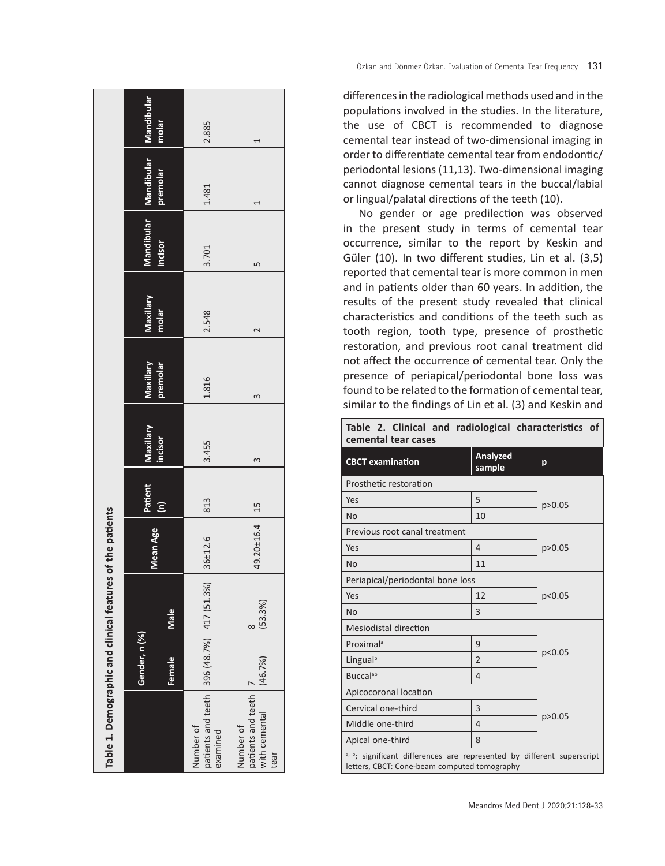| Table 1. Demographic and clinical features                              |               |              | of the patients  |     |           |           |                  |         |                                  |       |
|-------------------------------------------------------------------------|---------------|--------------|------------------|-----|-----------|-----------|------------------|---------|----------------------------------|-------|
|                                                                         | Gender, n (%) |              | Mean Age Patient |     | Maxillary | Maxillary | Maxillary        |         | Mandibular Mandibular Mandibular |       |
|                                                                         | Female        | Male         |                  |     | incisor   | premolar  | molar            | incisor | premolar                         | molar |
| patients and teeth   396 (48.7%)   417 (51.3%)<br>Number of<br>examined |               |              | $36 + 12.6$      | 813 | 3.455     | 1.816     | 2.548            | 3.701   | 1.481                            | 2.885 |
| patients and teeth<br>with cemental<br>Number of<br>tear                | (46.7%)       | (53.3%)<br>∝ | 49.20±16.4   15  |     | 3         | 3         | $\mathrel{\sim}$ | Ь٥      |                                  |       |

differences in the radiological methods used and in the populations involved in the studies. In the literature, the use of CBCT is recommended to diagnose cemental tear instead of two-dimensional imaging in order to differentiate cemental tear from endodontic/ periodontal lesions (11,13). Two-dimensional imaging cannot diagnose cemental tears in the buccal/labial or lingual/palatal directions of the teeth (10).

No gender or age predilection was observed in the present study in terms of cemental tear occurrence, similar to the report by Keskin and Güler (10). In two different studies, Lin et al. (3,5) reported that cemental tear is more common in men and in patients older than 60 years. In addition, the results of the present study revealed that clinical characteristics and conditions of the teeth such as tooth region, tooth type, presence of prosthetic restoration, and previous root canal treatment did not affect the occurrence of cemental tear. Only the presence of periapical/periodontal bone loss was found to be related to the formation of cemental tear, similar to the findings of Lin et al. (3) and Keskin and

| cemental tear cases                                                                                                    |                    |          |
|------------------------------------------------------------------------------------------------------------------------|--------------------|----------|
| <b>CBCT</b> examination                                                                                                | Analyzed<br>sample | p        |
| Prosthetic restoration                                                                                                 |                    |          |
| Yes                                                                                                                    | 5                  | p > 0.05 |
| <b>No</b>                                                                                                              | 10                 |          |
| Previous root canal treatment                                                                                          |                    |          |
| Yes                                                                                                                    | 4                  | p > 0.05 |
| <b>No</b>                                                                                                              | 11                 |          |
| Periapical/periodontal bone loss                                                                                       |                    |          |
| Yes                                                                                                                    | 12                 | p<0.05   |
| No                                                                                                                     | 3                  |          |
| <b>Mesiodistal direction</b>                                                                                           |                    |          |
| Proximal <sup>a</sup>                                                                                                  | 9                  |          |
| Lingual <sup>b</sup>                                                                                                   | $\overline{2}$     | p<0.05   |
| <b>Buccal</b> ab                                                                                                       | 4                  |          |
| Apicocoronal location                                                                                                  |                    |          |
| Cervical one-third                                                                                                     | 3                  |          |
| Middle one-third                                                                                                       | 4                  | p > 0.05 |
| Apical one-third                                                                                                       | 8                  |          |
| a, b; significant differences are represented by different superscript<br>letters, CBCT: Cone-beam computed tomography |                    |          |

|                     |  |  |  |          | Table 2. Clinical and radiological characteristics of |  |
|---------------------|--|--|--|----------|-------------------------------------------------------|--|
| cemental tear cases |  |  |  |          |                                                       |  |
|                     |  |  |  | Analyzed |                                                       |  |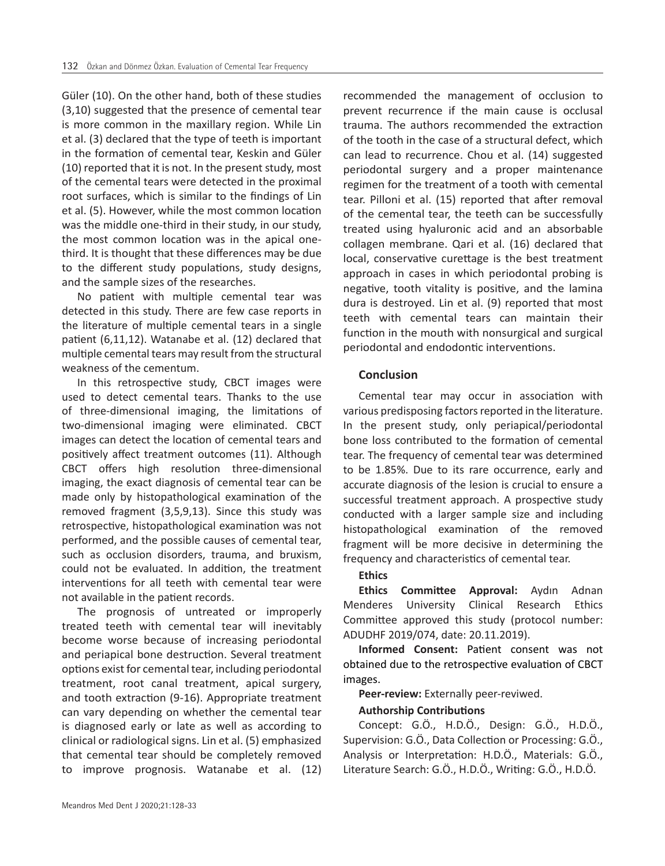Güler (10). On the other hand, both of these studies (3,10) suggested that the presence of cemental tear is more common in the maxillary region. While Lin et al. (3) declared that the type of teeth is important in the formation of cemental tear, Keskin and Güler (10) reported that it is not. In the present study, most of the cemental tears were detected in the proximal root surfaces, which is similar to the findings of Lin et al. (5). However, while the most common location was the middle one-third in their study, in our study, the most common location was in the apical onethird. It is thought that these differences may be due to the different study populations, study designs, and the sample sizes of the researches.

No patient with multiple cemental tear was detected in this study. There are few case reports in the literature of multiple cemental tears in a single patient (6,11,12). Watanabe et al. (12) declared that multiple cemental tears may result from the structural weakness of the cementum.

In this retrospective study, CBCT images were used to detect cemental tears. Thanks to the use of three-dimensional imaging, the limitations of two-dimensional imaging were eliminated. CBCT images can detect the location of cemental tears and positively affect treatment outcomes (11). Although CBCT offers high resolution three-dimensional imaging, the exact diagnosis of cemental tear can be made only by histopathological examination of the removed fragment (3,5,9,13). Since this study was retrospective, histopathological examination was not performed, and the possible causes of cemental tear, such as occlusion disorders, trauma, and bruxism, could not be evaluated. In addition, the treatment interventions for all teeth with cemental tear were not available in the patient records.

The prognosis of untreated or improperly treated teeth with cemental tear will inevitably become worse because of increasing periodontal and periapical bone destruction. Several treatment options exist for cemental tear, including periodontal treatment, root canal treatment, apical surgery, and tooth extraction (9-16). Appropriate treatment can vary depending on whether the cemental tear is diagnosed early or late as well as according to clinical or radiological signs. Lin et al. (5) emphasized that cemental tear should be completely removed to improve prognosis. Watanabe et al. (12)

recommended the management of occlusion to prevent recurrence if the main cause is occlusal trauma. The authors recommended the extraction of the tooth in the case of a structural defect, which can lead to recurrence. Chou et al. (14) suggested periodontal surgery and a proper maintenance regimen for the treatment of a tooth with cemental tear. Pilloni et al. (15) reported that after removal of the cemental tear, the teeth can be successfully treated using hyaluronic acid and an absorbable collagen membrane. Qari et al. (16) declared that local, conservative curettage is the best treatment approach in cases in which periodontal probing is negative, tooth vitality is positive, and the lamina dura is destroyed. Lin et al. (9) reported that most teeth with cemental tears can maintain their function in the mouth with nonsurgical and surgical periodontal and endodontic interventions.

#### **Conclusion**

Cemental tear may occur in association with various predisposing factors reported in the literature. In the present study, only periapical/periodontal bone loss contributed to the formation of cemental tear. The frequency of cemental tear was determined to be 1.85%. Due to its rare occurrence, early and accurate diagnosis of the lesion is crucial to ensure a successful treatment approach. A prospective study conducted with a larger sample size and including histopathological examination of the removed fragment will be more decisive in determining the frequency and characteristics of cemental tear.

#### **Ethics**

**Ethics Committee Approval:** Aydın Adnan Menderes University Clinical Research Ethics Committee approved this study (protocol number: ADUDHF 2019/074, date: 20.11.2019).

**Informed Consent:** Patient consent was not obtained due to the retrospective evaluation of CBCT images.

**Peer-review:** Externally peer-reviwed.

## **Authorship Contributions**

Concept: G.Ö., H.D.Ö., Design: G.Ö., H.D.Ö., Supervision: G.Ö., Data Collection or Processing: G.Ö., Analysis or Interpretation: H.D.Ö., Materials: G.Ö., Literature Search: G.Ö., H.D.Ö., Writing: G.Ö., H.D.Ö.